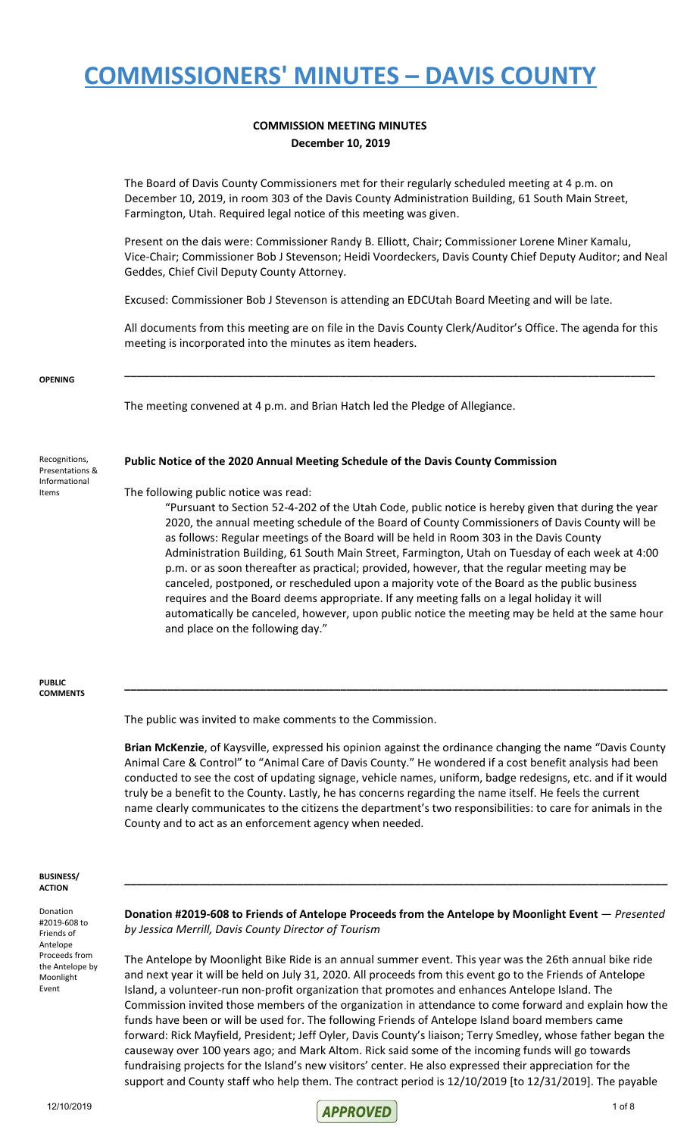#### **COMMISSION MEETING MINUTES December 10, 2019**

The Board of Davis County Commissioners met for their regularly scheduled meeting at 4 p.m. on December 10, 2019, in room 303 of the Davis County Administration Building, 61 South Main Street, Farmington, Utah. Required legal notice of this meeting was given.

Present on the dais were: Commissioner Randy B. Elliott, Chair; Commissioner Lorene Miner Kamalu, Vice-Chair; Commissioner Bob J Stevenson; Heidi Voordeckers, Davis County Chief Deputy Auditor; and Neal Geddes, Chief Civil Deputy County Attorney.

Excused: Commissioner Bob J Stevenson is attending an EDCUtah Board Meeting and will be late.

All documents from this meeting are on file in the Davis County Clerk/Auditor's Office. The agenda for this meeting is incorporated into the minutes as item headers.

**\_\_\_\_\_\_\_\_\_\_\_\_\_\_\_\_\_\_\_\_\_\_\_\_\_\_\_\_\_\_\_\_\_\_\_\_\_\_\_\_\_\_\_\_\_\_\_\_\_\_\_\_\_\_\_\_\_\_\_\_\_\_\_\_\_\_\_\_\_\_\_\_\_\_\_\_\_\_\_\_\_\_\_\_\_\_**

**OPENING**

The meeting convened at 4 p.m. and Brian Hatch led the Pledge of Allegiance.

#### **Public Notice of the 2020 Annual Meeting Schedule of the Davis County Commission**

Recognitions, Presentations & Informational Items

#### The following public notice was read:

"Pursuant to Section 52-4-202 of the Utah Code, public notice is hereby given that during the year 2020, the annual meeting schedule of the Board of County Commissioners of Davis County will be as follows: Regular meetings of the Board will be held in Room 303 in the Davis County Administration Building, 61 South Main Street, Farmington, Utah on Tuesday of each week at 4:00 p.m. or as soon thereafter as practical; provided, however, that the regular meeting may be canceled, postponed, or rescheduled upon a majority vote of the Board as the public business requires and the Board deems appropriate. If any meeting falls on a legal holiday it will automatically be canceled, however, upon public notice the meeting may be held at the same hour and place on the following day."

#### **PUBLIC COMMENTS**

The public was invited to make comments to the Commission.

**Brian McKenzie**, of Kaysville, expressed his opinion against the ordinance changing the name "Davis County Animal Care & Control" to "Animal Care of Davis County." He wondered if a cost benefit analysis had been conducted to see the cost of updating signage, vehicle names, uniform, badge redesigns, etc. and if it would truly be a benefit to the County. Lastly, he has concerns regarding the name itself. He feels the current name clearly communicates to the citizens the department's two responsibilities: to care for animals in the County and to act as an enforcement agency when needed.

**\_\_\_\_\_\_\_\_\_\_\_\_\_\_\_\_\_\_\_\_\_\_\_\_\_\_\_\_\_\_\_\_\_\_\_\_\_\_\_\_\_\_\_\_\_\_\_\_\_\_\_\_\_\_\_\_\_\_\_\_\_\_\_\_\_\_\_\_\_\_\_\_\_\_\_\_\_\_\_\_\_\_\_\_\_\_\_\_**

#### **BUSINESS/ ACTION**

Donation #2019-608 to Friends of Antelope Proceeds from the Antelope by Moonlight Event

**Donation #2019-608 to Friends of Antelope Proceeds from the Antelope by Moonlight Event** — *Presented by Jessica Merrill, Davis County Director of Tourism*

**\_\_\_\_\_\_\_\_\_\_\_\_\_\_\_\_\_\_\_\_\_\_\_\_\_\_\_\_\_\_\_\_\_\_\_\_\_\_\_\_\_\_\_\_\_\_\_\_\_\_\_\_\_\_\_\_\_\_\_\_\_\_\_\_\_\_\_\_\_\_\_\_\_\_\_\_\_\_\_\_\_\_\_\_\_\_\_\_**

The Antelope by Moonlight Bike Ride is an annual summer event. This year was the 26th annual bike ride and next year it will be held on July 31, 2020. All proceeds from this event go to the Friends of Antelope Island, a volunteer-run non-profit organization that promotes and enhances Antelope Island. The Commission invited those members of the organization in attendance to come forward and explain how the funds have been or will be used for. The following Friends of Antelope Island board members came forward: Rick Mayfield, President; Jeff Oyler, Davis County's liaison; Terry Smedley, whose father began the causeway over 100 years ago; and Mark Altom. Rick said some of the incoming funds will go towards fundraising projects for the Island's new visitors' center. He also expressed their appreciation for the support and County staff who help them. The contract period is 12/10/2019 [to 12/31/2019]. The payable

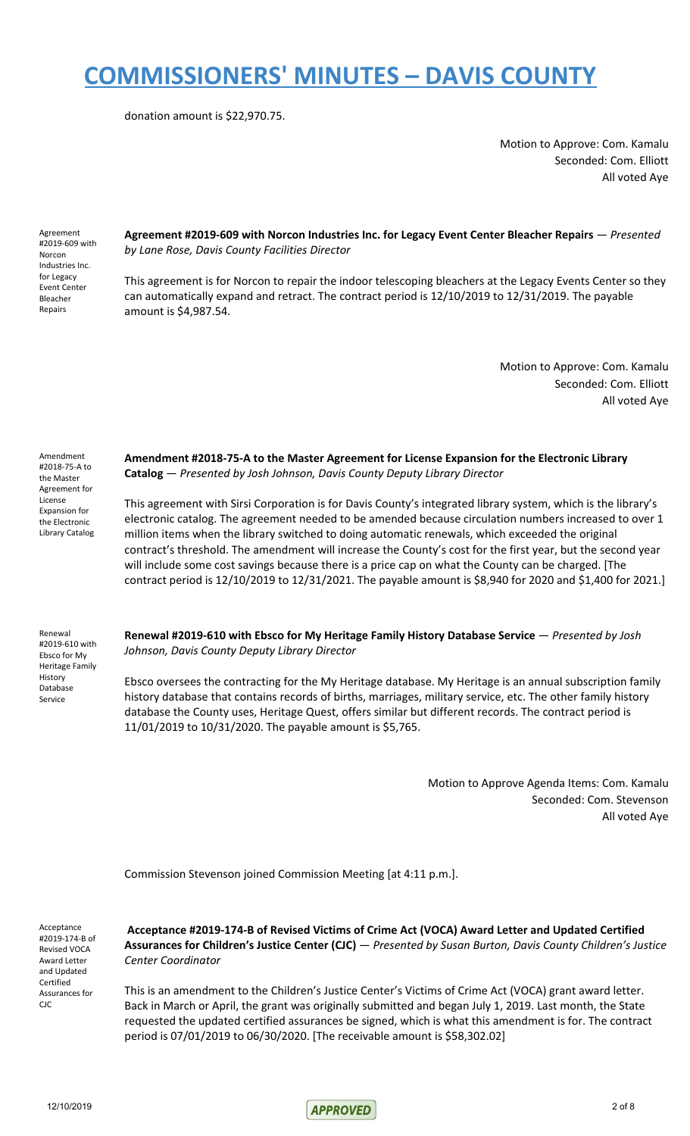donation amount is \$22,970.75.

Motion to Approve: Com. Kamalu Seconded: Com. Elliott All voted Aye

Agreement #2019-609 with Norcon Industries Inc. for Legacy Event Center Bleacher Repairs

**Agreement #2019-609 with Norcon Industries Inc. for Legacy Event Center Bleacher Repairs** — *Presented by Lane Rose, Davis County Facilities Director*

This agreement is for Norcon to repair the indoor telescoping bleachers at the Legacy Events Center so they can automatically expand and retract. The contract period is 12/10/2019 to 12/31/2019. The payable amount is \$4,987.54.

> Motion to Approve: Com. Kamalu Seconded: Com. Elliott All voted Aye

Amendment #2018-75-A to the Master Agreement for License Expansion for the Electronic Library Catalog

**Amendment #2018-75-A to the Master Agreement for License Expansion for the Electronic Library Catalog** — *Presented by Josh Johnson, Davis County Deputy Library Director*

This agreement with Sirsi Corporation is for Davis County's integrated library system, which is the library's electronic catalog. The agreement needed to be amended because circulation numbers increased to over 1 million items when the library switched to doing automatic renewals, which exceeded the original contract's threshold. The amendment will increase the County's cost for the first year, but the second year will include some cost savings because there is a price cap on what the County can be charged. [The contract period is 12/10/2019 to 12/31/2021. The payable amount is \$8,940 for 2020 and \$1,400 for 2021.]

Renewal #2019-610 with Ebsco for My Heritage Family History Database Service

**Renewal #2019-610 with Ebsco for My Heritage Family History Database Service** — *Presented by Josh Johnson, Davis County Deputy Library Director*

Ebsco oversees the contracting for the My Heritage database. My Heritage is an annual subscription family history database that contains records of births, marriages, military service, etc. The other family history database the County uses, Heritage Quest, offers similar but different records. The contract period is 11/01/2019 to 10/31/2020. The payable amount is \$5,765.

> Motion to Approve Agenda Items: Com. Kamalu Seconded: Com. Stevenson All voted Aye

Commission Stevenson joined Commission Meeting [at 4:11 p.m.].

Acceptance #2019-174-B of Revised VOCA Award Letter and Updated Certified Assurances for CJC

**Acceptance #2019-174-B of Revised Victims of Crime Act (VOCA) Award Letter and Updated Certified Assurances for Children's Justice Center (CJC)** — *Presented by Susan Burton, Davis County Children's Justice Center Coordinator*

This is an amendment to the Children's Justice Center's Victims of Crime Act (VOCA) grant award letter. Back in March or April, the grant was originally submitted and began July 1, 2019. Last month, the State requested the updated certified assurances be signed, which is what this amendment is for. The contract period is 07/01/2019 to 06/30/2020. [The receivable amount is \$58,302.02]

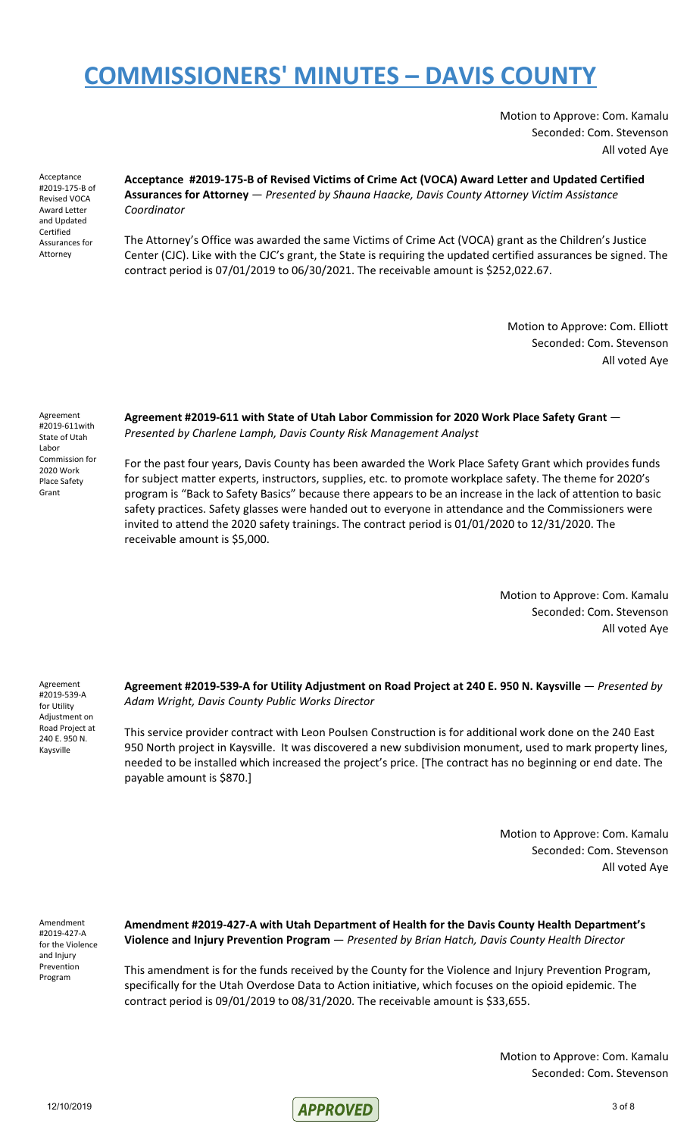Motion to Approve: Com. Kamalu Seconded: Com. Stevenson All voted Aye

Acceptance #2019-175-B of Revised VOCA Award Letter and Updated Certified Assurances for Attorney

**Acceptance #2019-175-B of Revised Victims of Crime Act (VOCA) Award Letter and Updated Certified Assurances for Attorney** — *Presented by Shauna Haacke, Davis County Attorney Victim Assistance Coordinator*

The Attorney's Office was awarded the same Victims of Crime Act (VOCA) grant as the Children's Justice Center (CJC). Like with the CJC's grant, the State is requiring the updated certified assurances be signed. The contract period is 07/01/2019 to 06/30/2021. The receivable amount is \$252,022.67.

> Motion to Approve: Com. Elliott Seconded: Com. Stevenson All voted Aye

Agreement #2019-611with State of Utah Labor Commission for 2020 Work Place Safety Grant

**Agreement #2019-611 with State of Utah Labor Commission for 2020 Work Place Safety Grant** — *Presented by Charlene Lamph, Davis County Risk Management Analyst*

For the past four years, Davis County has been awarded the Work Place Safety Grant which provides funds for subject matter experts, instructors, supplies, etc. to promote workplace safety. The theme for 2020's program is "Back to Safety Basics" because there appears to be an increase in the lack of attention to basic safety practices. Safety glasses were handed out to everyone in attendance and the Commissioners were invited to attend the 2020 safety trainings. The contract period is 01/01/2020 to 12/31/2020. The receivable amount is \$5,000.

> Motion to Approve: Com. Kamalu Seconded: Com. Stevenson All voted Aye

Agreement #2019-539-A for Utility Adjustment on Road Project at 240 E. 950 N. Kaysville

**Agreement #2019-539-A for Utility Adjustment on Road Project at 240 E. 950 N. Kaysville** — *Presented by Adam Wright, Davis County Public Works Director*

This service provider contract with Leon Poulsen Construction is for additional work done on the 240 East 950 North project in Kaysville. It was discovered a new subdivision monument, used to mark property lines, needed to be installed which increased the project's price. [The contract has no beginning or end date. The payable amount is \$870.]

> Motion to Approve: Com. Kamalu Seconded: Com. Stevenson All voted Aye

Amendment #2019-427-A for the Violence and Injury Prevention Program

**Amendment #2019-427-A with Utah Department of Health for the Davis County Health Department's Violence and Injury Prevention Program** — *Presented by Brian Hatch, Davis County Health Director*

This amendment is for the funds received by the County for the Violence and Injury Prevention Program, specifically for the Utah Overdose Data to Action initiative, which focuses on the opioid epidemic. The contract period is 09/01/2019 to 08/31/2020. The receivable amount is \$33,655.

> Motion to Approve: Com. Kamalu Seconded: Com. Stevenson

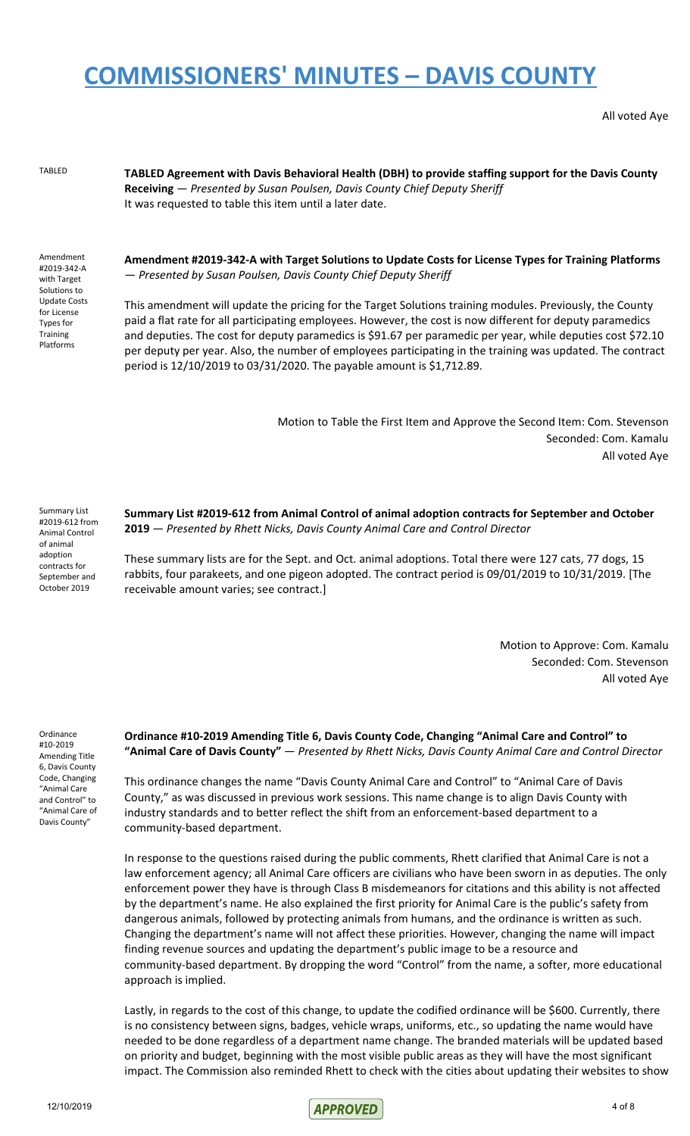All voted Aye

TABLED **TABLED Agreement with Davis Behavioral Health (DBH) to provide staffing support for the Davis County Receiving** — *Presented by Susan Poulsen, Davis County Chief Deputy Sheriff* It was requested to table this item until a later date.

Amendment #2019-342-A with Target Solutions to Update Costs for License Types for **Training** Platforms

**Amendment #2019-342-A with Target Solutions to Update Costs for License Types for Training Platforms** — *Presented by Susan Poulsen, Davis County Chief Deputy Sheriff*

This amendment will update the pricing for the Target Solutions training modules. Previously, the County paid a flat rate for all participating employees. However, the cost is now different for deputy paramedics and deputies. The cost for deputy paramedics is \$91.67 per paramedic per year, while deputies cost \$72.10 per deputy per year. Also, the number of employees participating in the training was updated. The contract period is 12/10/2019 to 03/31/2020. The payable amount is \$1,712.89.

> Motion to Table the First Item and Approve the Second Item: Com. Stevenson Seconded: Com. Kamalu All voted Aye

Summary List #2019-612 from Animal Control of animal adoption contracts for September and October 2019

**Summary List #2019-612 from Animal Control of animal adoption contracts for September and October 2019** — *Presented by Rhett Nicks, Davis County Animal Care and Control Director*

These summary lists are for the Sept. and Oct. animal adoptions. Total there were 127 cats, 77 dogs, 15 rabbits, four parakeets, and one pigeon adopted. The contract period is 09/01/2019 to 10/31/2019. [The receivable amount varies; see contract.]

> Motion to Approve: Com. Kamalu Seconded: Com. Stevenson All voted Aye

Ordinance #10-2019 Amending Title 6, Davis County Code, Changing "Animal Care and Control" to "Animal Care of Davis County"

**Ordinance #10-2019 Amending Title 6, Davis County Code, Changing "Animal Care and Control" to "Animal Care of Davis County"** — *Presented by Rhett Nicks, Davis County Animal Care and Control Director*

This ordinance changes the name "Davis County Animal Care and Control" to "Animal Care of Davis County," as was discussed in previous work sessions. This name change is to align Davis County with industry standards and to better reflect the shift from an enforcement-based department to a community-based department.

In response to the questions raised during the public comments, Rhett clarified that Animal Care is not a law enforcement agency; all Animal Care officers are civilians who have been sworn in as deputies. The only enforcement power they have is through Class B misdemeanors for citations and this ability is not affected by the department's name. He also explained the first priority for Animal Care is the public's safety from dangerous animals, followed by protecting animals from humans, and the ordinance is written as such. Changing the department's name will not affect these priorities. However, changing the name will impact finding revenue sources and updating the department's public image to be a resource and community-based department. By dropping the word "Control" from the name, a softer, more educational approach is implied.

Lastly, in regards to the cost of this change, to update the codified ordinance will be \$600. Currently, there is no consistency between signs, badges, vehicle wraps, uniforms, etc., so updating the name would have needed to be done regardless of a department name change. The branded materials will be updated based on priority and budget, beginning with the most visible public areas as they will have the most significant impact. The Commission also reminded Rhett to check with the cities about updating their websites to show

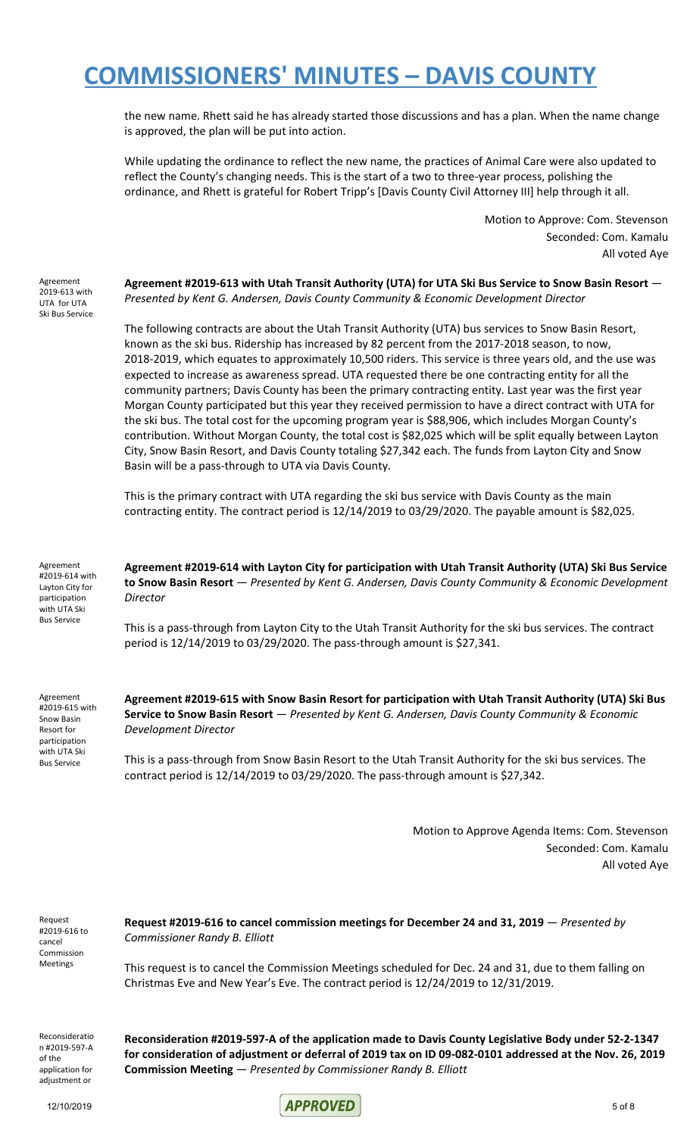the new name. Rhett said he has already started those discussions and has a plan. When the name change is approved, the plan will be put into action.

While updating the ordinance to reflect the new name, the practices of Animal Care were also updated to reflect the County's changing needs. This is the start of a two to three-year process, polishing the ordinance, and Rhett is grateful for Robert Tripp's [Davis County Civil Attorney III] help through it all.

> Motion to Approve: Com. Stevenson Seconded: Com. Kamalu All voted Aye

Agreement 2019-613 with UTA for UTA Ski Bus Service **Agreement #2019-613 with Utah Transit Authority (UTA) for UTA Ski Bus Service to Snow Basin Resort** — *Presented by Kent G. Andersen, Davis County Community & Economic Development Director*

The following contracts are about the Utah Transit Authority (UTA) bus services to Snow Basin Resort, known as the ski bus. Ridership has increased by 82 percent from the 2017-2018 season, to now, 2018-2019, which equates to approximately 10,500 riders. This service is three years old, and the use was expected to increase as awareness spread. UTA requested there be one contracting entity for all the community partners; Davis County has been the primary contracting entity. Last year was the first year Morgan County participated but this year they received permission to have a direct contract with UTA for the ski bus. The total cost for the upcoming program year is \$88,906, which includes Morgan County's contribution. Without Morgan County, the total cost is \$82,025 which will be split equally between Layton City, Snow Basin Resort, and Davis County totaling \$27,342 each. The funds from Layton City and Snow Basin will be a pass-through to UTA via Davis County.

This is the primary contract with UTA regarding the ski bus service with Davis County as the main contracting entity. The contract period is 12/14/2019 to 03/29/2020. The payable amount is \$82,025.

Agreement #2019-614 with Layton City for participation with UTA Ski Bus Service

**Agreement #2019-614 with Layton City for participation with Utah Transit Authority (UTA) Ski Bus Service to Snow Basin Resort** — *Presented by Kent G. Andersen, Davis County Community & Economic Development Director*

This is a pass-through from Layton City to the Utah Transit Authority for the ski bus services. The contract period is 12/14/2019 to 03/29/2020. The pass-through amount is \$27,341.

Agreement #2019-615 with Snow Basin Resort for participation with UTA Ski Bus Service

**Agreement #2019-615 with Snow Basin Resort for participation with Utah Transit Authority (UTA) Ski Bus Service to Snow Basin Resort** — *Presented by Kent G. Andersen, Davis County Community & Economic Development Director*

This is a pass-through from Snow Basin Resort to the Utah Transit Authority for the ski bus services. The contract period is 12/14/2019 to 03/29/2020. The pass-through amount is \$27,342.

> Motion to Approve Agenda Items: Com. Stevenson Seconded: Com. Kamalu All voted Aye

Request #2019-616 to cancel Commission Meetings

**Request #2019-616 to cancel commission meetings for December 24 and 31, 2019** — *Presented by Commissioner Randy B. Elliott*

This request is to cancel the Commission Meetings scheduled for Dec. 24 and 31, due to them falling on Christmas Eve and New Year's Eve. The contract period is 12/24/2019 to 12/31/2019.

Reconsideratio n #2019-597-A of the application for adiustment or

**Reconsideration #2019-597-A of the application made to Davis County Legislative Body under 52-2-1347** for consideration of adjustment or deferral of 2019 tax on ID 09-082-0101 addressed at the Nov. 26, 2019 **Commission Meeting** — *Presented by Commissioner Randy B. Elliott*

12/10/2019 **APPROVED** 5 of 8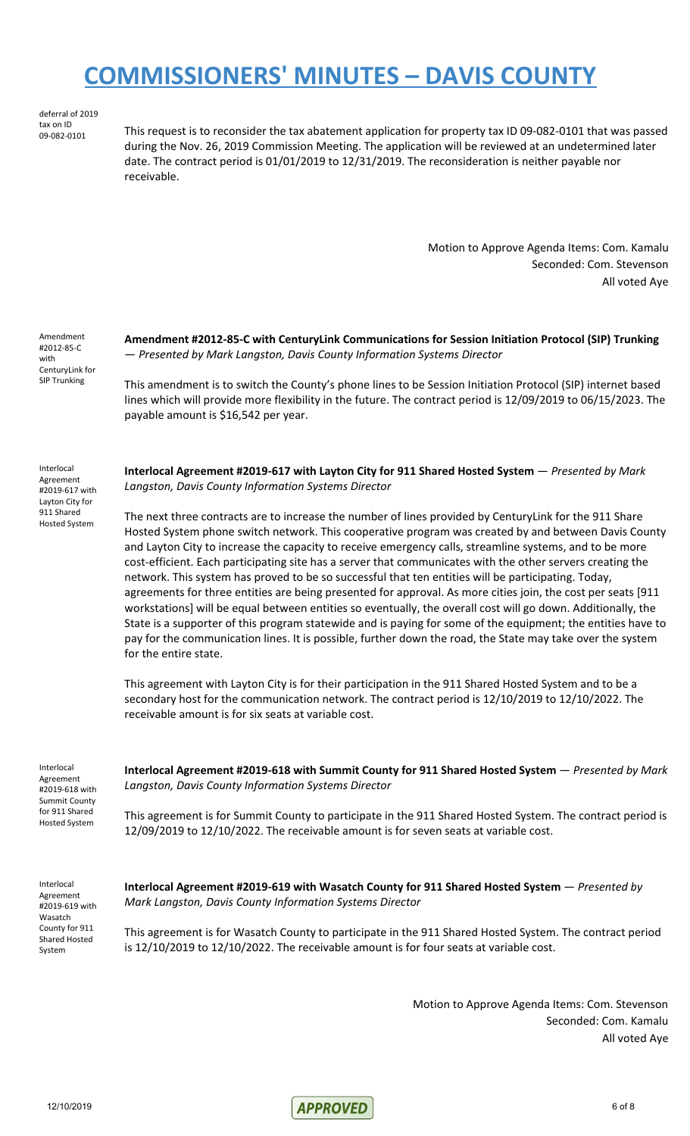deferral of 2019 tax on ID<br>09-082-0101

This request is to reconsider the tax abatement application for property tax ID 09-082-0101 that was passed during the Nov. 26, 2019 Commission Meeting. The application will be reviewed at an undetermined later date. The contract period is 01/01/2019 to 12/31/2019. The reconsideration is neither payable nor receivable.

> Motion to Approve Agenda Items: Com. Kamalu Seconded: Com. Stevenson All voted Aye

Amendment #2012-85-C with CenturyLink for SIP Trunking

**Amendment #2012-85-C with CenturyLink Communications for Session Initiation Protocol (SIP) Trunking** — *Presented by Mark Langston, Davis County Information Systems Director*

This amendment is to switch the County's phone lines to be Session Initiation Protocol (SIP) internet based lines which will provide more flexibility in the future. The contract period is 12/09/2019 to 06/15/2023. The payable amount is \$16,542 per year.

Interlocal Agreement #2019-617 with Layton City for 911 Shared Hosted System

**Interlocal Agreement #2019-617 with Layton City for 911 Shared Hosted System** — *Presented by Mark Langston, Davis County Information Systems Director*

The next three contracts are to increase the number of lines provided by CenturyLink for the 911 Share Hosted System phone switch network. This cooperative program was created by and between Davis County and Layton City to increase the capacity to receive emergency calls, streamline systems, and to be more cost-efficient. Each participating site has a server that communicates with the other servers creating the network. This system has proved to be so successful that ten entities will be participating. Today, agreements for three entities are being presented for approval. As more cities join, the cost per seats [911 workstations] will be equal between entities so eventually, the overall cost will go down. Additionally, the State is a supporter of this program statewide and is paying for some of the equipment; the entities have to pay for the communication lines. It is possible, further down the road, the State may take over the system for the entire state.

This agreement with Layton City is for their participation in the 911 Shared Hosted System and to be a secondary host for the communication network. The contract period is 12/10/2019 to 12/10/2022. The receivable amount is for six seats at variable cost.

Interlocal Agreement #2019-618 with Summit County for 911 Shared Hosted System

**Interlocal Agreement #2019-618 with Summit County for 911 Shared Hosted System** — *Presented by Mark Langston, Davis County Information Systems Director*

This agreement is for Summit County to participate in the 911 Shared Hosted System. The contract period is 12/09/2019 to 12/10/2022. The receivable amount is for seven seats at variable cost.

Interlocal Agreement #2019-619 with Wasatch County for 911 Shared Hosted System

**Interlocal Agreement #2019-619 with Wasatch County for 911 Shared Hosted System** — *Presented by Mark Langston, Davis County Information Systems Director*

This agreement is for Wasatch County to participate in the 911 Shared Hosted System. The contract period is 12/10/2019 to 12/10/2022. The receivable amount is for four seats at variable cost.

> Motion to Approve Agenda Items: Com. Stevenson Seconded: Com. Kamalu All voted Aye

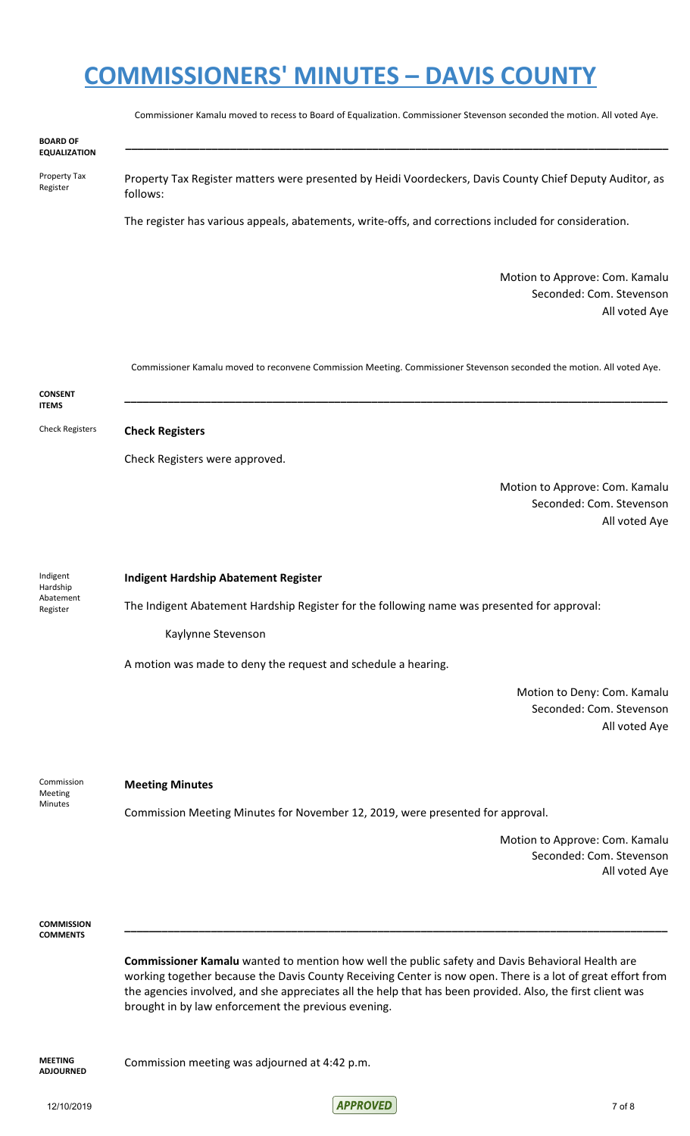|                                               | Commissioner Kamalu moved to recess to Board of Equalization. Commissioner Stevenson seconded the motion. All voted Aye. |
|-----------------------------------------------|--------------------------------------------------------------------------------------------------------------------------|
| <b>BOARD OF</b><br><b>EQUALIZATION</b>        |                                                                                                                          |
| Property Tax<br>Register                      | Property Tax Register matters were presented by Heidi Voordeckers, Davis County Chief Deputy Auditor, as<br>follows:     |
|                                               | The register has various appeals, abatements, write-offs, and corrections included for consideration.                    |
|                                               | Motion to Approve: Com. Kamalu<br>Seconded: Com. Stevenson<br>All voted Aye                                              |
| <b>CONSENT</b>                                | Commissioner Kamalu moved to reconvene Commission Meeting. Commissioner Stevenson seconded the motion. All voted Aye.    |
| <b>ITEMS</b>                                  |                                                                                                                          |
| <b>Check Registers</b>                        | <b>Check Registers</b>                                                                                                   |
|                                               | Check Registers were approved.                                                                                           |
|                                               | Motion to Approve: Com. Kamalu<br>Seconded: Com. Stevenson<br>All voted Aye                                              |
| Indigent<br>Hardship<br>Abatement<br>Register | <b>Indigent Hardship Abatement Register</b>                                                                              |
|                                               | The Indigent Abatement Hardship Register for the following name was presented for approval:                              |
|                                               | Kaylynne Stevenson                                                                                                       |
|                                               | A motion was made to deny the request and schedule a hearing.                                                            |
|                                               | Motion to Deny: Com. Kamalu<br>Seconded: Com. Stevenson<br>All voted Aye                                                 |
| Commission<br>Meeting<br>Minutes              | <b>Meeting Minutes</b>                                                                                                   |
|                                               | Commission Meeting Minutes for November 12, 2019, were presented for approval.                                           |
|                                               | Motion to Approve: Com. Kamalu<br>Seconded: Com. Stevenson<br>All voted Aye                                              |
| <b>COMMISSION</b>                             |                                                                                                                          |
| <b>COMMENTS</b>                               | Commissioner Kamalu wanted to mention how well the public safety and Davis Behavioral Health are                         |

working together because the Davis County Receiving Center is now open. There is a lot of great effort from the agencies involved, and she appreciates all the help that has been provided. Also, the first client was brought in by law enforcement the previous evening.

**MEETING ADJOURNED**

Commission meeting was adjourned at 4:42 p.m.

12/10/2019 7 of 8